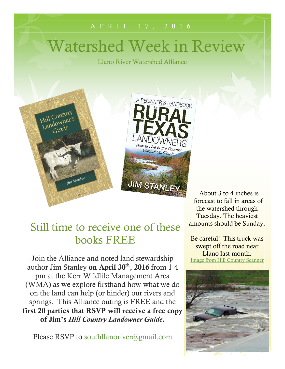# Watershed Week in Review

Llano River Watershed Alliance

A P R I L 1 7 , 2 0 1 6



About 3 to 4 inches is forecast to fall in areas of the watershed through Tuesday. The heaviest amounts should be Sunday.

Be careful! This truck was swept off the road near Llano last month. [Image from Hill Country Scanner](https://www.facebook.com/Hill-Country-Scanner-594696780573912/?fref=photo)



### Still time to receive one of these books FREE

Join the Alliance and noted land stewardship author Jim Stanley **on April 30th, 2016** from 1-4 pm at the Kerr Wildlife Management Area (WMA) as we explore firsthand how what we do on the land can help (or hinder) our rivers and springs. This Alliance outing is FREE and the **first 20 parties that RSVP will receive a free copy of Jim's** *Hill Country Landowner Guide***.**

Please RSVP to [southllanoriver@gmail.com](mailto:southllanoriver@gmail.com)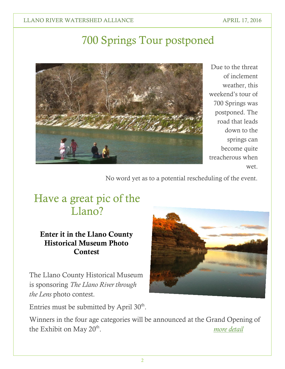## 700 Springs Tour postponed



Due to the threat of inclement weather, this weekend's tour of 700 Springs was postponed. The road that leads down to the springs can become quite treacherous when wet.

No word yet as to a potential rescheduling of the event.

### Have a great pic of the Llano?

#### **Enter it in the Llano County Historical Museum Photo Contest**

The Llano County Historical Museum is sponsoring *The Llano River through the Lens* photo contest.

Entries must be submitted by April  $30<sup>th</sup>$ .

Winners in the four age categories will be announced at the Grand Opening of the Exhibit on May  $20^{\text{th}}$ . . *[more detail](http://llanomuseum.org/2016-photography-contest-rules-guidelines/)*